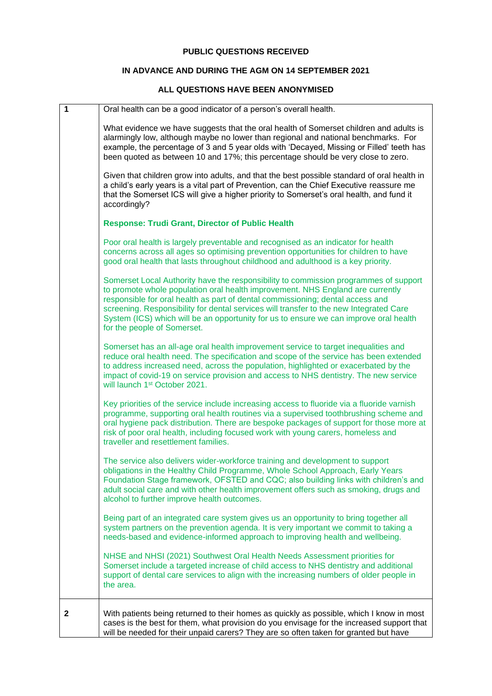## **PUBLIC QUESTIONS RECEIVED**

## **IN ADVANCE AND DURING THE AGM ON 14 SEPTEMBER 2021**

## **ALL QUESTIONS HAVE BEEN ANONYMISED**

| 1 | Oral health can be a good indicator of a person's overall health.                                                                                                                                                                                                                                                                                                                                                                                                          |
|---|----------------------------------------------------------------------------------------------------------------------------------------------------------------------------------------------------------------------------------------------------------------------------------------------------------------------------------------------------------------------------------------------------------------------------------------------------------------------------|
|   | What evidence we have suggests that the oral health of Somerset children and adults is<br>alarmingly low, although maybe no lower than regional and national benchmarks. For<br>example, the percentage of 3 and 5 year olds with 'Decayed, Missing or Filled' teeth has<br>been quoted as between 10 and 17%; this percentage should be very close to zero.                                                                                                               |
|   | Given that children grow into adults, and that the best possible standard of oral health in<br>a child's early years is a vital part of Prevention, can the Chief Executive reassure me<br>that the Somerset ICS will give a higher priority to Somerset's oral health, and fund it<br>accordingly?                                                                                                                                                                        |
|   | <b>Response: Trudi Grant, Director of Public Health</b>                                                                                                                                                                                                                                                                                                                                                                                                                    |
|   | Poor oral health is largely preventable and recognised as an indicator for health<br>concerns across all ages so optimising prevention opportunities for children to have<br>good oral health that lasts throughout childhood and adulthood is a key priority.                                                                                                                                                                                                             |
|   | Somerset Local Authority have the responsibility to commission programmes of support<br>to promote whole population oral health improvement. NHS England are currently<br>responsible for oral health as part of dental commissioning; dental access and<br>screening. Responsibility for dental services will transfer to the new Integrated Care<br>System (ICS) which will be an opportunity for us to ensure we can improve oral health<br>for the people of Somerset. |
|   | Somerset has an all-age oral health improvement service to target inequalities and<br>reduce oral health need. The specification and scope of the service has been extended<br>to address increased need, across the population, highlighted or exacerbated by the<br>impact of covid-19 on service provision and access to NHS dentistry. The new service<br>will launch 1 <sup>st</sup> October 2021.                                                                    |
|   | Key priorities of the service include increasing access to fluoride via a fluoride varnish<br>programme, supporting oral health routines via a supervised toothbrushing scheme and<br>oral hygiene pack distribution. There are bespoke packages of support for those more at<br>risk of poor oral health, including focused work with young carers, homeless and<br>traveller and resettlement families.                                                                  |
|   | The service also delivers wider-workforce training and development to support<br>obligations in the Healthy Child Programme, Whole School Approach, Early Years<br>Foundation Stage framework, OFSTED and CQC; also building links with children's and<br>adult social care and with other health improvement offers such as smoking, drugs and<br>alcohol to further improve health outcomes.                                                                             |
|   | Being part of an integrated care system gives us an opportunity to bring together all<br>system partners on the prevention agenda. It is very important we commit to taking a<br>needs-based and evidence-informed approach to improving health and wellbeing.                                                                                                                                                                                                             |
|   | NHSE and NHSI (2021) Southwest Oral Health Needs Assessment priorities for<br>Somerset include a targeted increase of child access to NHS dentistry and additional<br>support of dental care services to align with the increasing numbers of older people in<br>the area.                                                                                                                                                                                                 |
| 2 | With patients being returned to their homes as quickly as possible, which I know in most<br>cases is the best for them, what provision do you envisage for the increased support that<br>will be needed for their unpaid carers? They are so often taken for granted but have                                                                                                                                                                                              |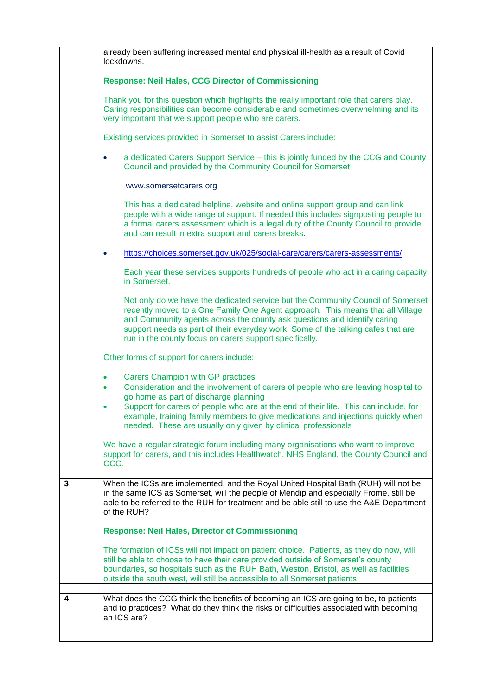|   | already been suffering increased mental and physical ill-health as a result of Covid<br>lockdowns.                                                                                                                                                                                                                                                                                                                                |
|---|-----------------------------------------------------------------------------------------------------------------------------------------------------------------------------------------------------------------------------------------------------------------------------------------------------------------------------------------------------------------------------------------------------------------------------------|
|   | <b>Response: Neil Hales, CCG Director of Commissioning</b>                                                                                                                                                                                                                                                                                                                                                                        |
|   | Thank you for this question which highlights the really important role that carers play.<br>Caring responsibilities can become considerable and sometimes overwhelming and its<br>very important that we support people who are carers.                                                                                                                                                                                           |
|   | Existing services provided in Somerset to assist Carers include:                                                                                                                                                                                                                                                                                                                                                                  |
|   | a dedicated Carers Support Service - this is jointly funded by the CCG and County<br>$\bullet$<br>Council and provided by the Community Council for Somerset.                                                                                                                                                                                                                                                                     |
|   | www.somersetcarers.org                                                                                                                                                                                                                                                                                                                                                                                                            |
|   | This has a dedicated helpline, website and online support group and can link<br>people with a wide range of support. If needed this includes signposting people to<br>a formal carers assessment which is a legal duty of the County Council to provide<br>and can result in extra support and carers breaks.                                                                                                                     |
|   | https://choices.somerset.gov.uk/025/social-care/carers/carers-assessments/                                                                                                                                                                                                                                                                                                                                                        |
|   | Each year these services supports hundreds of people who act in a caring capacity<br>in Somerset.                                                                                                                                                                                                                                                                                                                                 |
|   | Not only do we have the dedicated service but the Community Council of Somerset<br>recently moved to a One Family One Agent approach. This means that all Village<br>and Community agents across the county ask questions and identify caring<br>support needs as part of their everyday work. Some of the talking cafes that are<br>run in the county focus on carers support specifically.                                      |
|   | Other forms of support for carers include:                                                                                                                                                                                                                                                                                                                                                                                        |
|   | <b>Carers Champion with GP practices</b><br>Consideration and the involvement of carers of people who are leaving hospital to<br>$\bullet$<br>go home as part of discharge planning<br>Support for carers of people who are at the end of their life. This can include, for<br>example, training family members to give medications and injections quickly when<br>needed. These are usually only given by clinical professionals |
|   | We have a regular strategic forum including many organisations who want to improve<br>support for carers, and this includes Healthwatch, NHS England, the County Council and<br>CCG.                                                                                                                                                                                                                                              |
|   |                                                                                                                                                                                                                                                                                                                                                                                                                                   |
| 3 | When the ICSs are implemented, and the Royal United Hospital Bath (RUH) will not be<br>in the same ICS as Somerset, will the people of Mendip and especially Frome, still be<br>able to be referred to the RUH for treatment and be able still to use the A&E Department<br>of the RUH?                                                                                                                                           |
|   | <b>Response: Neil Hales, Director of Commissioning</b>                                                                                                                                                                                                                                                                                                                                                                            |
|   | The formation of ICSs will not impact on patient choice. Patients, as they do now, will<br>still be able to choose to have their care provided outside of Somerset's county<br>boundaries, so hospitals such as the RUH Bath, Weston, Bristol, as well as facilities<br>outside the south west, will still be accessible to all Somerset patients.                                                                                |
| 4 | What does the CCG think the benefits of becoming an ICS are going to be, to patients                                                                                                                                                                                                                                                                                                                                              |
|   | and to practices? What do they think the risks or difficulties associated with becoming<br>an ICS are?                                                                                                                                                                                                                                                                                                                            |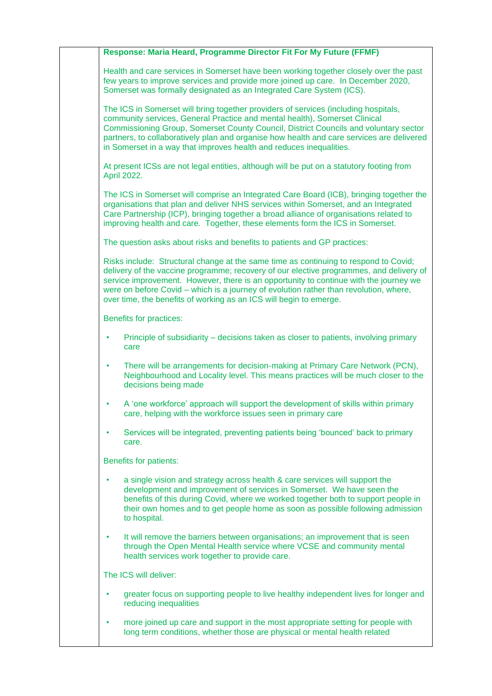|           | Response: Maria Heard, Programme Director Fit For My Future (FFMF)                                                                                                                                                                                                                                                                                                                                                                      |
|-----------|-----------------------------------------------------------------------------------------------------------------------------------------------------------------------------------------------------------------------------------------------------------------------------------------------------------------------------------------------------------------------------------------------------------------------------------------|
|           | Health and care services in Somerset have been working together closely over the past<br>few years to improve services and provide more joined up care. In December 2020,<br>Somerset was formally designated as an Integrated Care System (ICS).                                                                                                                                                                                       |
|           | The ICS in Somerset will bring together providers of services (including hospitals,<br>community services, General Practice and mental health), Somerset Clinical<br>Commissioning Group, Somerset County Council, District Councils and voluntary sector<br>partners, to collaboratively plan and organise how health and care services are delivered<br>in Somerset in a way that improves health and reduces inequalities.           |
|           | At present ICSs are not legal entities, although will be put on a statutory footing from<br>April 2022.                                                                                                                                                                                                                                                                                                                                 |
|           | The ICS in Somerset will comprise an Integrated Care Board (ICB), bringing together the<br>organisations that plan and deliver NHS services within Somerset, and an Integrated<br>Care Partnership (ICP), bringing together a broad alliance of organisations related to<br>improving health and care. Together, these elements form the ICS in Somerset.                                                                               |
|           | The question asks about risks and benefits to patients and GP practices:                                                                                                                                                                                                                                                                                                                                                                |
|           | Risks include: Structural change at the same time as continuing to respond to Covid;<br>delivery of the vaccine programme; recovery of our elective programmes, and delivery of<br>service improvement. However, there is an opportunity to continue with the journey we<br>were on before Covid – which is a journey of evolution rather than revolution, where,<br>over time, the benefits of working as an ICS will begin to emerge. |
|           | <b>Benefits for practices:</b>                                                                                                                                                                                                                                                                                                                                                                                                          |
|           | Principle of subsidiarity – decisions taken as closer to patients, involving primary<br>care                                                                                                                                                                                                                                                                                                                                            |
| $\bullet$ | There will be arrangements for decision-making at Primary Care Network (PCN),<br>Neighbourhood and Locality level. This means practices will be much closer to the<br>decisions being made                                                                                                                                                                                                                                              |
|           | A 'one workforce' approach will support the development of skills within primary<br>care, helping with the workforce issues seen in primary care                                                                                                                                                                                                                                                                                        |
|           | Services will be integrated, preventing patients being 'bounced' back to primary<br>care.                                                                                                                                                                                                                                                                                                                                               |
|           | Benefits for patients:                                                                                                                                                                                                                                                                                                                                                                                                                  |
|           | a single vision and strategy across health & care services will support the<br>development and improvement of services in Somerset. We have seen the<br>benefits of this during Covid, where we worked together both to support people in<br>their own homes and to get people home as soon as possible following admission<br>to hospital.                                                                                             |
| $\bullet$ | It will remove the barriers between organisations; an improvement that is seen<br>through the Open Mental Health service where VCSE and community mental<br>health services work together to provide care.                                                                                                                                                                                                                              |
|           | The ICS will deliver:                                                                                                                                                                                                                                                                                                                                                                                                                   |
|           | greater focus on supporting people to live healthy independent lives for longer and<br>reducing inequalities                                                                                                                                                                                                                                                                                                                            |
| ٠         | more joined up care and support in the most appropriate setting for people with<br>long term conditions, whether those are physical or mental health related                                                                                                                                                                                                                                                                            |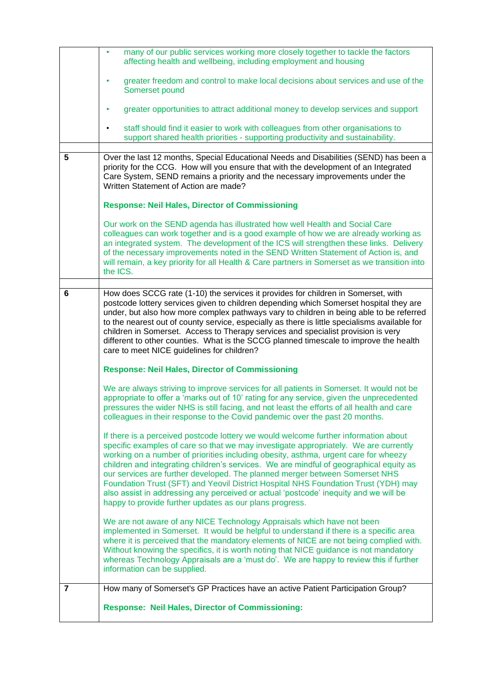|   | many of our public services working more closely together to tackle the factors<br>٠                                                                                                                                                                                                                                                                                                                                                                                                                                                                                                                                                                                                 |
|---|--------------------------------------------------------------------------------------------------------------------------------------------------------------------------------------------------------------------------------------------------------------------------------------------------------------------------------------------------------------------------------------------------------------------------------------------------------------------------------------------------------------------------------------------------------------------------------------------------------------------------------------------------------------------------------------|
|   | affecting health and wellbeing, including employment and housing                                                                                                                                                                                                                                                                                                                                                                                                                                                                                                                                                                                                                     |
|   | greater freedom and control to make local decisions about services and use of the<br>٠<br>Somerset pound                                                                                                                                                                                                                                                                                                                                                                                                                                                                                                                                                                             |
|   | greater opportunities to attract additional money to develop services and support<br>٠                                                                                                                                                                                                                                                                                                                                                                                                                                                                                                                                                                                               |
|   | staff should find it easier to work with colleagues from other organisations to<br>$\bullet$<br>support shared health priorities - supporting productivity and sustainability.                                                                                                                                                                                                                                                                                                                                                                                                                                                                                                       |
| 5 | Over the last 12 months, Special Educational Needs and Disabilities (SEND) has been a<br>priority for the CCG. How will you ensure that with the development of an Integrated<br>Care System, SEND remains a priority and the necessary improvements under the<br>Written Statement of Action are made?                                                                                                                                                                                                                                                                                                                                                                              |
|   | <b>Response: Neil Hales, Director of Commissioning</b>                                                                                                                                                                                                                                                                                                                                                                                                                                                                                                                                                                                                                               |
|   | Our work on the SEND agenda has illustrated how well Health and Social Care<br>colleagues can work together and is a good example of how we are already working as<br>an integrated system. The development of the ICS will strengthen these links. Delivery<br>of the necessary improvements noted in the SEND Written Statement of Action is, and<br>will remain, a key priority for all Health & Care partners in Somerset as we transition into<br>the ICS.                                                                                                                                                                                                                      |
| 6 | How does SCCG rate (1-10) the services it provides for children in Somerset, with                                                                                                                                                                                                                                                                                                                                                                                                                                                                                                                                                                                                    |
|   | postcode lottery services given to children depending which Somerset hospital they are<br>under, but also how more complex pathways vary to children in being able to be referred<br>to the nearest out of county service, especially as there is little specialisms available for<br>children in Somerset. Access to Therapy services and specialist provision is very<br>different to other counties. What is the SCCG planned timescale to improve the health<br>care to meet NICE guidelines for children?                                                                                                                                                                       |
|   | <b>Response: Neil Hales, Director of Commissioning</b>                                                                                                                                                                                                                                                                                                                                                                                                                                                                                                                                                                                                                               |
|   | We are always striving to improve services for all patients in Somerset. It would not be<br>appropriate to offer a 'marks out of 10' rating for any service, given the unprecedented<br>pressures the wider NHS is still facing, and not least the efforts of all health and care<br>colleagues in their response to the Covid pandemic over the past 20 months.                                                                                                                                                                                                                                                                                                                     |
|   | If there is a perceived postcode lottery we would welcome further information about<br>specific examples of care so that we may investigate appropriately. We are currently<br>working on a number of priorities including obesity, asthma, urgent care for wheezy<br>children and integrating children's services. We are mindful of geographical equity as<br>our services are further developed. The planned merger between Somerset NHS<br>Foundation Trust (SFT) and Yeovil District Hospital NHS Foundation Trust (YDH) may<br>also assist in addressing any perceived or actual 'postcode' inequity and we will be<br>happy to provide further updates as our plans progress. |
|   | We are not aware of any NICE Technology Appraisals which have not been<br>implemented in Somerset. It would be helpful to understand if there is a specific area<br>where it is perceived that the mandatory elements of NICE are not being complied with.<br>Without knowing the specifics, it is worth noting that NICE guidance is not mandatory<br>whereas Technology Appraisals are a 'must do'. We are happy to review this if further<br>information can be supplied.                                                                                                                                                                                                         |
| 7 | How many of Somerset's GP Practices have an active Patient Participation Group?                                                                                                                                                                                                                                                                                                                                                                                                                                                                                                                                                                                                      |
|   | <b>Response: Neil Hales, Director of Commissioning:</b>                                                                                                                                                                                                                                                                                                                                                                                                                                                                                                                                                                                                                              |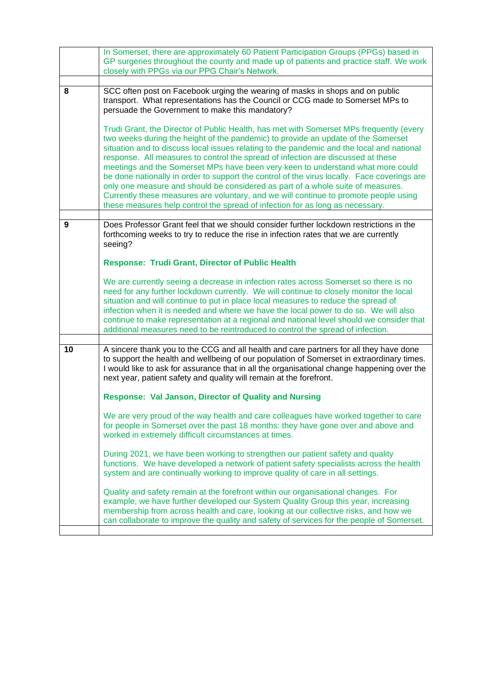|    | In Somerset, there are approximately 60 Patient Participation Groups (PPGs) based in<br>GP surgeries throughout the county and made up of patients and practice staff. We work                                                                                                                                                                                                                                                                                                                                                                                                                                                                                                                                   |
|----|------------------------------------------------------------------------------------------------------------------------------------------------------------------------------------------------------------------------------------------------------------------------------------------------------------------------------------------------------------------------------------------------------------------------------------------------------------------------------------------------------------------------------------------------------------------------------------------------------------------------------------------------------------------------------------------------------------------|
|    | closely with PPGs via our PPG Chair's Network.                                                                                                                                                                                                                                                                                                                                                                                                                                                                                                                                                                                                                                                                   |
|    |                                                                                                                                                                                                                                                                                                                                                                                                                                                                                                                                                                                                                                                                                                                  |
| 8  | SCC often post on Facebook urging the wearing of masks in shops and on public<br>transport. What representations has the Council or CCG made to Somerset MPs to<br>persuade the Government to make this mandatory?<br>Trudi Grant, the Director of Public Health, has met with Somerset MPs frequently (every                                                                                                                                                                                                                                                                                                                                                                                                    |
|    | two weeks during the height of the pandemic) to provide an update of the Somerset<br>situation and to discuss local issues relating to the pandemic and the local and national<br>response. All measures to control the spread of infection are discussed at these<br>meetings and the Somerset MPs have been very keen to understand what more could<br>be done nationally in order to support the control of the virus locally. Face coverings are<br>only one measure and should be considered as part of a whole suite of measures.<br>Currently these measures are voluntary, and we will continue to promote people using<br>these measures help control the spread of infection for as long as necessary. |
| 9  | Does Professor Grant feel that we should consider further lockdown restrictions in the                                                                                                                                                                                                                                                                                                                                                                                                                                                                                                                                                                                                                           |
|    | forthcoming weeks to try to reduce the rise in infection rates that we are currently<br>seeing?<br><b>Response: Trudi Grant, Director of Public Health</b>                                                                                                                                                                                                                                                                                                                                                                                                                                                                                                                                                       |
|    |                                                                                                                                                                                                                                                                                                                                                                                                                                                                                                                                                                                                                                                                                                                  |
|    | We are currently seeing a decrease in infection rates across Somerset so there is no<br>need for any further lockdown currently. We will continue to closely monitor the local<br>situation and will continue to put in place local measures to reduce the spread of<br>infection when it is needed and where we have the local power to do so. We will also<br>continue to make representation at a regional and national level should we consider that<br>additional measures need to be reintroduced to control the spread of infection.                                                                                                                                                                      |
|    |                                                                                                                                                                                                                                                                                                                                                                                                                                                                                                                                                                                                                                                                                                                  |
| 10 | A sincere thank you to the CCG and all health and care partners for all they have done<br>to support the health and wellbeing of our population of Somerset in extraordinary times.<br>I would like to ask for assurance that in all the organisational change happening over the<br>next year, patient safety and quality will remain at the forefront.                                                                                                                                                                                                                                                                                                                                                         |
|    | <b>Response: Val Janson, Director of Quality and Nursing</b>                                                                                                                                                                                                                                                                                                                                                                                                                                                                                                                                                                                                                                                     |
|    | We are very proud of the way health and care colleagues have worked together to care<br>for people in Somerset over the past 18 months: they have gone over and above and<br>worked in extremely difficult circumstances at times.                                                                                                                                                                                                                                                                                                                                                                                                                                                                               |
|    | During 2021, we have been working to strengthen our patient safety and quality<br>functions. We have developed a network of patient safety specialists across the health<br>system and are continually working to improve quality of care in all settings.                                                                                                                                                                                                                                                                                                                                                                                                                                                       |
|    | Quality and safety remain at the forefront within our organisational changes. For<br>example, we have further developed our System Quality Group this year, increasing<br>membership from across health and care, looking at our collective risks, and how we<br>can collaborate to improve the quality and safety of services for the people of Somerset.                                                                                                                                                                                                                                                                                                                                                       |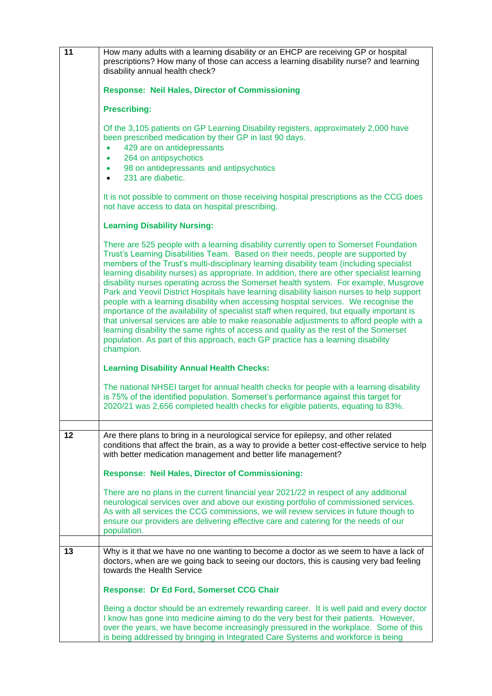| 11 | How many adults with a learning disability or an EHCP are receiving GP or hospital<br>prescriptions? How many of those can access a learning disability nurse? and learning<br>disability annual health check?                                                                                                                                                                                                                                                                                                                                                                                                                                                                                                                                                                                                                                                                                                                                                                                                                          |
|----|-----------------------------------------------------------------------------------------------------------------------------------------------------------------------------------------------------------------------------------------------------------------------------------------------------------------------------------------------------------------------------------------------------------------------------------------------------------------------------------------------------------------------------------------------------------------------------------------------------------------------------------------------------------------------------------------------------------------------------------------------------------------------------------------------------------------------------------------------------------------------------------------------------------------------------------------------------------------------------------------------------------------------------------------|
|    | <b>Response: Neil Hales, Director of Commissioning</b>                                                                                                                                                                                                                                                                                                                                                                                                                                                                                                                                                                                                                                                                                                                                                                                                                                                                                                                                                                                  |
|    | <b>Prescribing:</b>                                                                                                                                                                                                                                                                                                                                                                                                                                                                                                                                                                                                                                                                                                                                                                                                                                                                                                                                                                                                                     |
|    | Of the 3,105 patients on GP Learning Disability registers, approximately 2,000 have<br>been prescribed medication by their GP in last 90 days.<br>429 are on antidepressants<br>$\bullet$<br>264 on antipsychotics<br>$\bullet$<br>98 on antidepressants and antipsychotics<br>$\bullet$<br>231 are diabetic.<br>$\bullet$                                                                                                                                                                                                                                                                                                                                                                                                                                                                                                                                                                                                                                                                                                              |
|    | It is not possible to comment on those receiving hospital prescriptions as the CCG does<br>not have access to data on hospital prescribing.                                                                                                                                                                                                                                                                                                                                                                                                                                                                                                                                                                                                                                                                                                                                                                                                                                                                                             |
|    | <b>Learning Disability Nursing:</b>                                                                                                                                                                                                                                                                                                                                                                                                                                                                                                                                                                                                                                                                                                                                                                                                                                                                                                                                                                                                     |
|    | There are 525 people with a learning disability currently open to Somerset Foundation<br>Trust's Learning Disabilities Team. Based on their needs, people are supported by<br>members of the Trust's multi-disciplinary learning disability team (including specialist<br>learning disability nurses) as appropriate. In addition, there are other specialist learning<br>disability nurses operating across the Somerset health system. For example, Musgrove<br>Park and Yeovil District Hospitals have learning disability liaison nurses to help support<br>people with a learning disability when accessing hospital services. We recognise the<br>importance of the availability of specialist staff when required, but equally important is<br>that universal services are able to make reasonable adjustments to afford people with a<br>learning disability the same rights of access and quality as the rest of the Somerset<br>population. As part of this approach, each GP practice has a learning disability<br>champion. |
|    | <b>Learning Disability Annual Health Checks:</b>                                                                                                                                                                                                                                                                                                                                                                                                                                                                                                                                                                                                                                                                                                                                                                                                                                                                                                                                                                                        |
|    | The national NHSEI target for annual health checks for people with a learning disability<br>is 75% of the identified population. Somerset's performance against this target for<br>2020/21 was 2,656 completed health checks for eligible patients, equating to 83%.                                                                                                                                                                                                                                                                                                                                                                                                                                                                                                                                                                                                                                                                                                                                                                    |
| 12 | Are there plans to bring in a neurological service for epilepsy, and other related<br>conditions that affect the brain, as a way to provide a better cost-effective service to help<br>with better medication management and better life management?                                                                                                                                                                                                                                                                                                                                                                                                                                                                                                                                                                                                                                                                                                                                                                                    |
|    | <b>Response: Neil Hales, Director of Commissioning:</b>                                                                                                                                                                                                                                                                                                                                                                                                                                                                                                                                                                                                                                                                                                                                                                                                                                                                                                                                                                                 |
|    | There are no plans in the current financial year 2021/22 in respect of any additional<br>neurological services over and above our existing portfolio of commissioned services.<br>As with all services the CCG commissions, we will review services in future though to<br>ensure our providers are delivering effective care and catering for the needs of our<br>population.                                                                                                                                                                                                                                                                                                                                                                                                                                                                                                                                                                                                                                                          |
| 13 | Why is it that we have no one wanting to become a doctor as we seem to have a lack of                                                                                                                                                                                                                                                                                                                                                                                                                                                                                                                                                                                                                                                                                                                                                                                                                                                                                                                                                   |
|    | doctors, when are we going back to seeing our doctors, this is causing very bad feeling<br>towards the Health Service                                                                                                                                                                                                                                                                                                                                                                                                                                                                                                                                                                                                                                                                                                                                                                                                                                                                                                                   |
|    | <b>Response: Dr Ed Ford, Somerset CCG Chair</b>                                                                                                                                                                                                                                                                                                                                                                                                                                                                                                                                                                                                                                                                                                                                                                                                                                                                                                                                                                                         |
|    | Being a doctor should be an extremely rewarding career. It is well paid and every doctor<br>I know has gone into medicine aiming to do the very best for their patients. However,<br>over the years, we have become increasingly pressured in the workplace. Some of this<br>is being addressed by bringing in Integrated Care Systems and workforce is being                                                                                                                                                                                                                                                                                                                                                                                                                                                                                                                                                                                                                                                                           |